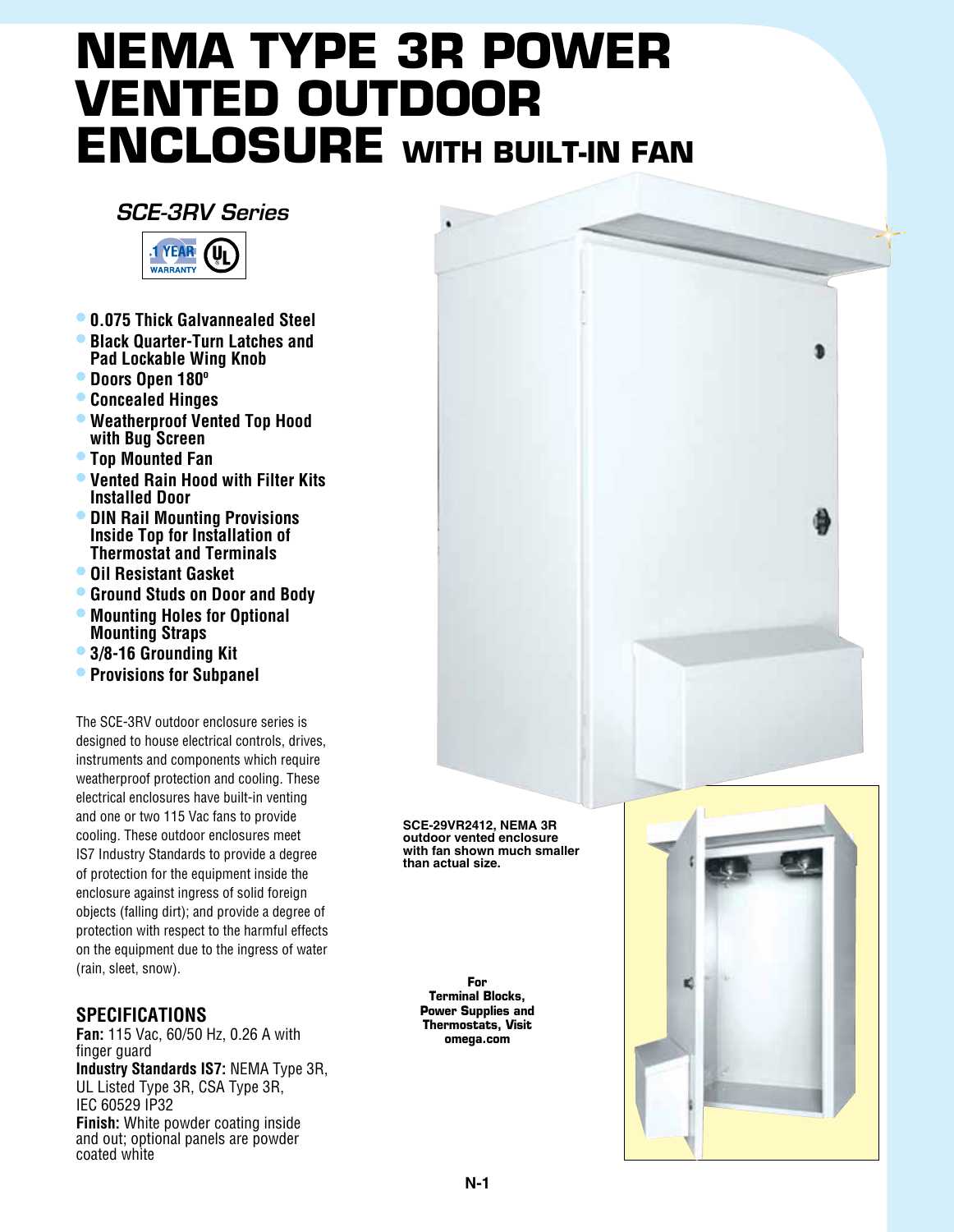## **NEMA Type 3R Power Vented Outdoor Enclosure with Built-in Fan**

## *SCE-3RV Series*



- **• 0.075 Thick Galvannealed Steel**
- **• Black Quarter-Turn Latches and Pad Lockable Wing Knob**
- **• Doors Open 180º**
- **• Concealed Hinges**
- **• Weatherproof Vented Top Hood with Bug Screen**
- **• Top Mounted Fan**
- **• Vented Rain Hood with Filter Kits Installed Door**
- **• DIN Rail Mounting Provisions Inside Top for Installation of Thermostat and Terminals**
- **• Oil Resistant Gasket**
- **• Ground Studs on Door and Body**
- **• Mounting Holes for Optional Mounting Straps**
- **• 3/8-16 Grounding Kit**
- **• Provisions for Subpanel**

The SCE-3RV outdoor enclosure series is designed to house electrical controls, drives, instruments and components which require weatherproof protection and cooling. These electrical enclosures have built-in venting and one or two 115 Vac fans to provide cooling. These outdoor enclosures meet IS7 Industry Standards to provide a degree of protection for the equipment inside the enclosure against ingress of solid foreign objects (falling dirt); and provide a degree of protection with respect to the harmful effects on the equipment due to the ingress of water (rain, sleet, snow).

## **Specifications**

**Fan:** 115 Vac, 60/50 Hz, 0.26 A with finger guard **Industry Standards IS7:** NEMA Type 3R, UL Listed Type 3R, CSA Type 3R, IEC 60529 IP32 **Finish:** White powder coating inside and out; optional panels are powder coated white